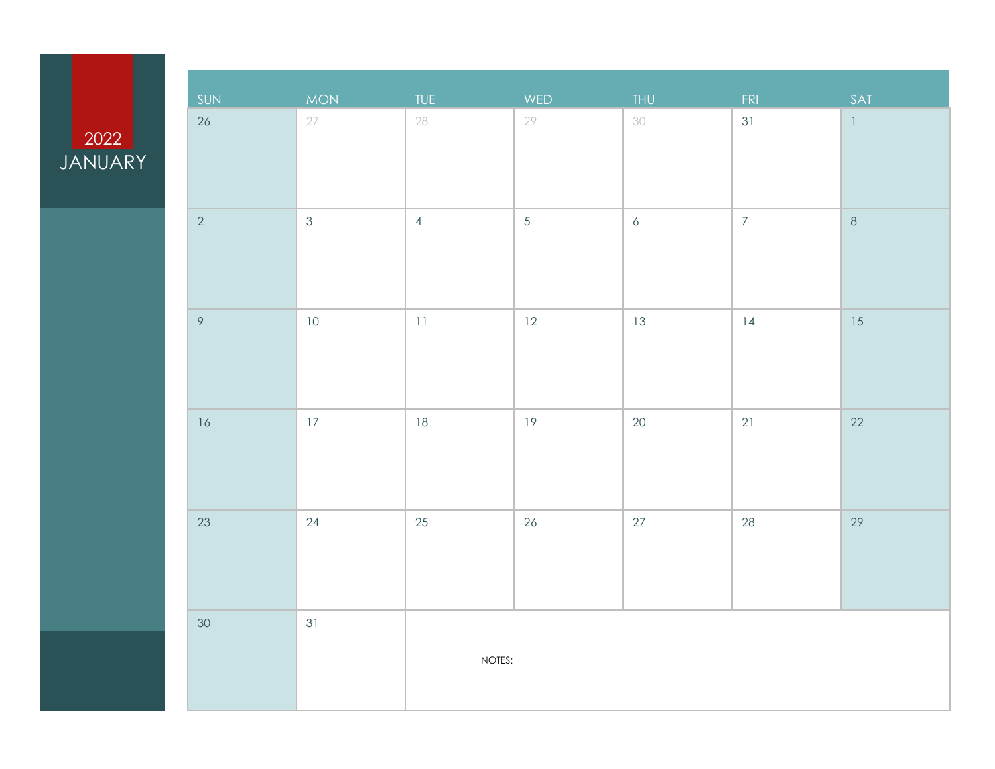#### **JANUARY**

| SUN            | <b>MON</b>     | TUE            | WED            | <b>THU</b>       | FRI            | SAT          |
|----------------|----------------|----------------|----------------|------------------|----------------|--------------|
| 26             | 27             | 28             | 29             | 30               | 31             | $\mathbb{L}$ |
| $\overline{2}$ | $\mathfrak{Z}$ | $\overline{4}$ | $\overline{5}$ | $\boldsymbol{6}$ | $\overline{7}$ | $\,8\,$      |
| $\overline{9}$ | $10$           | $11\,$         | 12             | 13               | 4              | 15           |
| 16             | 17             | $18\,$         | 19             | $20\,$           | 21             | $22\,$       |
| 23             | $24\,$         | $25\,$         | $26\,$         | $27\,$           | 28             | $29\,$       |
| $30\,$         | 31             | NOTES:         |                |                  |                |              |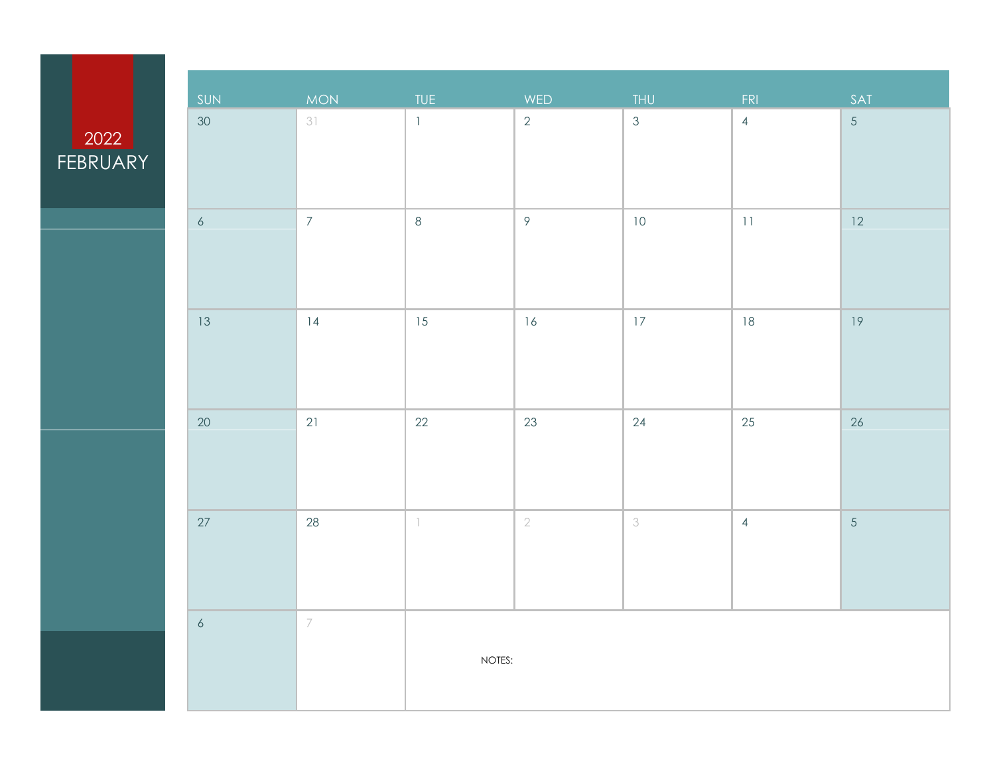#### **FEBRUARY**

| SUN             | <b>MON</b>               | <b>TUE</b>    | WED            | <b>THU</b>     | FRI            | SAT            |
|-----------------|--------------------------|---------------|----------------|----------------|----------------|----------------|
| 30 <sup>°</sup> | 31                       | $\mathbf{1}$  | $\overline{2}$ | $\mathfrak{S}$ | $\overline{4}$ | $\overline{5}$ |
|                 |                          |               |                |                |                |                |
|                 |                          |               |                |                |                |                |
|                 |                          |               |                |                |                |                |
| $\epsilon$      | $\overline{7}$           | $\,8\,$       | $\circ$        | $10$           | $11\,$         | 12             |
|                 |                          |               |                |                |                |                |
|                 |                          |               |                |                |                |                |
|                 |                          |               |                |                |                |                |
| 13              | 14                       | 15            | 16             | $17\,$         | $18\,$         | 19             |
|                 |                          |               |                |                |                |                |
|                 |                          |               |                |                |                |                |
| $20\,$          | 21                       | $22\,$        | 23             | $24$           | $25\,$         | $26\,$         |
|                 |                          |               |                |                |                |                |
|                 |                          |               |                |                |                |                |
|                 |                          |               |                |                |                |                |
| $27\,$          | 28                       | $\mathbbm{1}$ | $\sqrt{2}$     | $\mathcal S$   | $\overline{4}$ | $\overline{5}$ |
|                 |                          |               |                |                |                |                |
|                 |                          |               |                |                |                |                |
|                 |                          |               |                |                |                |                |
| $\epsilon$      | $\overline{\phantom{a}}$ |               |                |                |                |                |
|                 |                          | NOTES:        |                |                |                |                |
|                 |                          |               |                |                |                |                |
|                 |                          |               |                |                |                |                |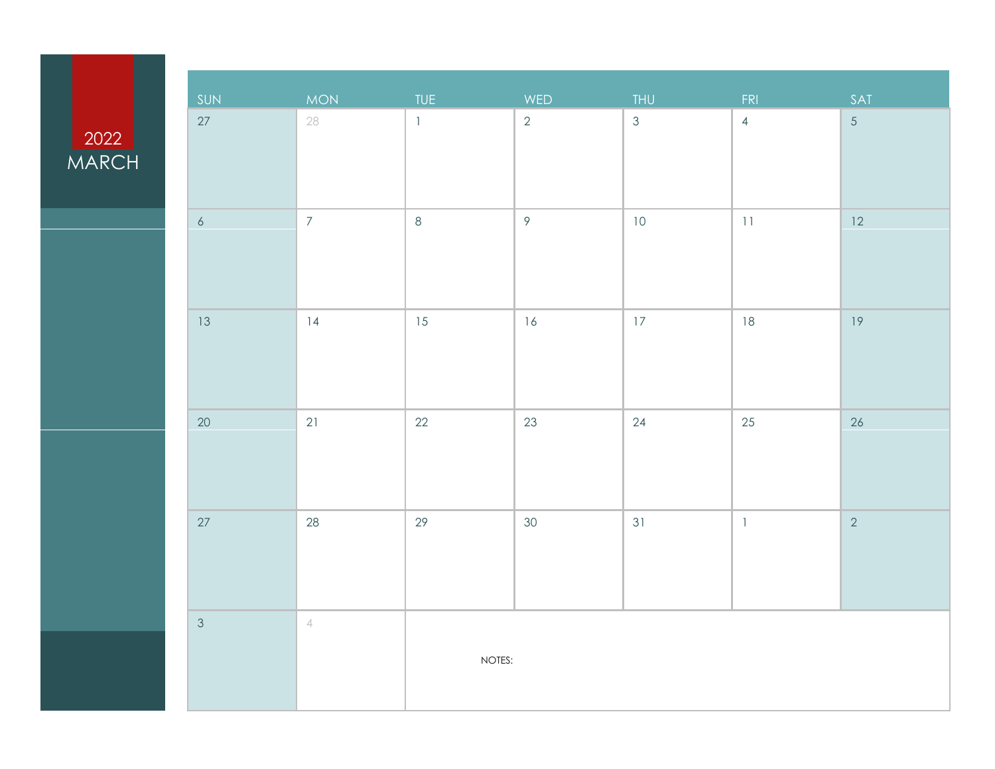#### **MARCH**

| SUN            | MON            | <b>TUE</b>   | WED            | THU            | FRI            | SAT            |
|----------------|----------------|--------------|----------------|----------------|----------------|----------------|
| 27             | 28             | $\mathbf{1}$ | $\overline{2}$ | $\mathfrak{S}$ | $\overline{4}$ | $\overline{5}$ |
|                |                |              |                |                |                |                |
|                |                |              |                |                |                |                |
|                |                |              |                |                |                |                |
| $\epsilon$     | $\overline{7}$ | $\,8\,$      | $\circ$        | $10\,$         | $11\,$         | 12             |
|                |                |              |                |                |                |                |
|                |                |              |                |                |                |                |
|                |                |              |                |                |                |                |
| 13             | 4              | $15\,$       | 16             | $17\,$         | $18\,$         | 19             |
|                |                |              |                |                |                |                |
|                |                |              |                |                |                |                |
|                |                |              |                |                |                |                |
| $20\,$         | 21             | $22\,$       | 23             | $24\,$         | $25\,$         | $26\,$         |
|                |                |              |                |                |                |                |
|                |                |              |                |                |                |                |
|                |                |              |                |                |                |                |
| $27\,$         | $28\,$         | 29           | $30\,$         | 31             | $\mathbb{I}$   | $\overline{2}$ |
|                |                |              |                |                |                |                |
|                |                |              |                |                |                |                |
|                |                |              |                |                |                |                |
| $\mathfrak{Z}$ | $\sqrt{ }$     |              |                |                |                |                |
|                |                | NOTES:       |                |                |                |                |
|                |                |              |                |                |                |                |
|                |                |              |                |                |                |                |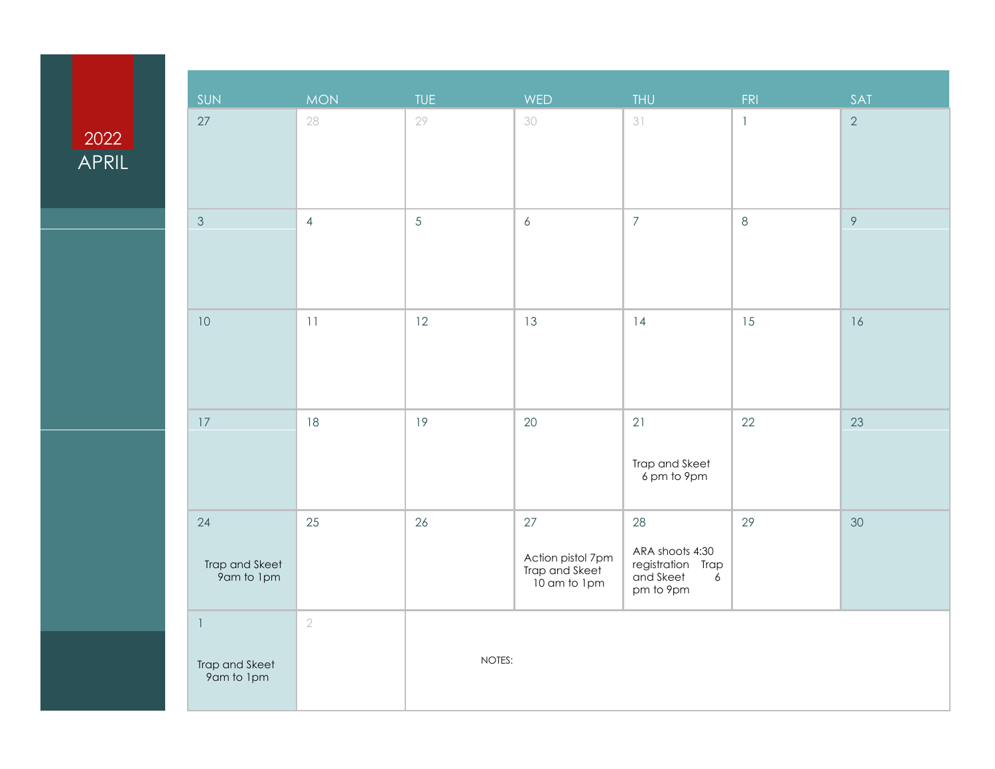#### 2022 APRIL

| SUN                                          | MON.           | <b>TUE</b>     | WED                                                       | <b>THU</b>                                                             | FRI          | SAT            |
|----------------------------------------------|----------------|----------------|-----------------------------------------------------------|------------------------------------------------------------------------|--------------|----------------|
| 27                                           | 28             | 29             | 30                                                        | 31                                                                     | $\mathbf{1}$ | $\overline{2}$ |
| $\mathfrak{Z}$                               | $\overline{4}$ | $\overline{5}$ | $\boldsymbol{6}$                                          | $\overline{7}$                                                         | $\,8\,$      | $\mathcal{P}$  |
| $10$                                         | 11             | 12             | 13                                                        | 14                                                                     | 15           | $16$           |
| $17\,$                                       | 18             | 19             | $20\,$                                                    | 21<br>Trap and Skeet<br>6 pm to 9pm                                    | 22           | 23             |
| 24<br>Trap and Skeet<br>9am to 1pm           | 25             | 26             | 27<br>Action pistol 7pm<br>Trap and Skeet<br>10 am to 1pm | 28<br>ARA shoots 4:30<br>registration Trap<br>and Skeet 6<br>pm to 9pm | 29           | 30             |
| $\mathbb{I}$<br>Trap and Skeet<br>9am to 1pm | $\sqrt{2}$     | NOTES:         |                                                           |                                                                        |              |                |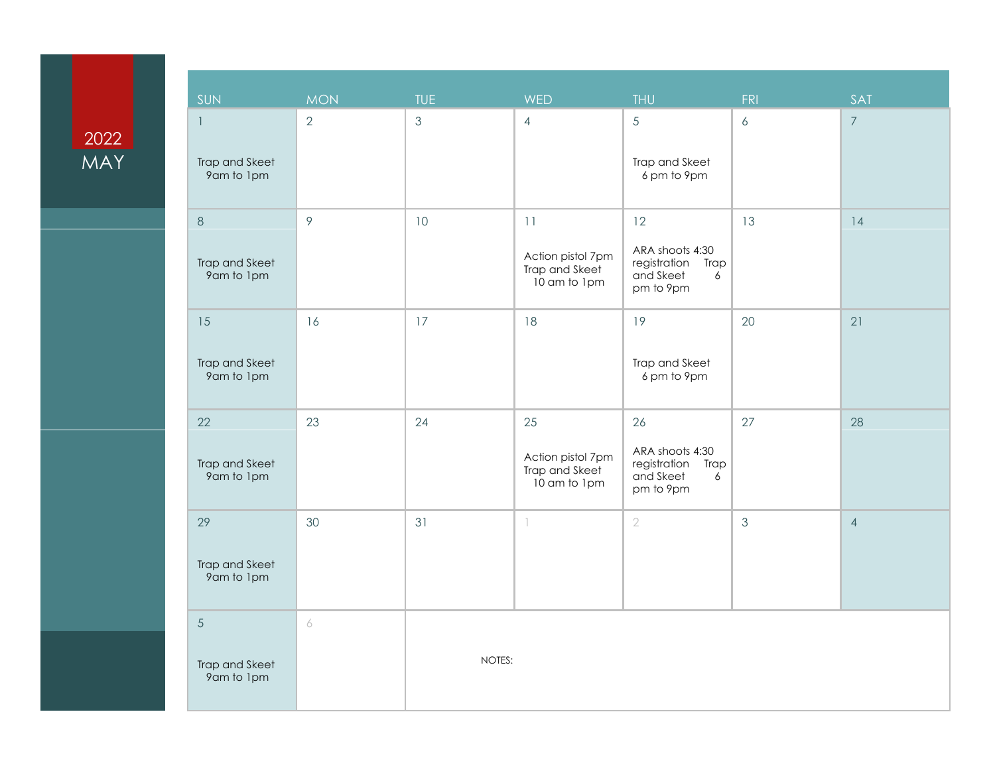### 2022 MAY

| SUN                                                      | <b>MON</b>     | <b>TUE</b>    | <b>WED</b>                                                | <b>THU</b>                                                                          | FRI              | SAT            |
|----------------------------------------------------------|----------------|---------------|-----------------------------------------------------------|-------------------------------------------------------------------------------------|------------------|----------------|
| $\overline{\phantom{a}}$<br>Trap and Skeet<br>9am to 1pm | $\overline{2}$ | $\mathcal{S}$ | $\overline{4}$                                            | 5<br>Trap and Skeet<br>6 pm to 9pm                                                  | $\boldsymbol{6}$ | $\overline{7}$ |
| $\,8\,$                                                  | $\mathcal{P}$  | 10            | 11                                                        | 12                                                                                  | 13               | 14             |
| Trap and Skeet<br>9am to 1pm                             |                |               | Action pistol 7pm<br>Trap and Skeet<br>10 am to 1pm       | ARA shoots 4:30<br>registration<br>Trap<br>and Skeet<br>6<br>pm to 9pm              |                  |                |
| 15                                                       | 16             | 17            | 18                                                        | 19                                                                                  | 20               | 21             |
| Trap and Skeet<br>9am to 1pm                             |                |               |                                                           | Trap and Skeet<br>6 pm to 9pm                                                       |                  |                |
| 22<br>Trap and Skeet<br>9am to 1pm                       | 23             | 24            | 25<br>Action pistol 7pm<br>Trap and Skeet<br>10 am to 1pm | 26<br>ARA shoots 4:30<br>registration<br><b>Trap</b><br>and Skeet<br>6<br>pm to 9pm | 27               | 28             |
| 29<br>Trap and Skeet<br>9am to 1pm                       | 30             | 31            | 1                                                         | $\overline{2}$                                                                      | $\mathfrak{Z}$   | $\overline{4}$ |
| $\sqrt{5}$                                               | 6              |               |                                                           |                                                                                     |                  |                |
| Trap and Skeet<br>9am to 1pm                             |                | NOTES:        |                                                           |                                                                                     |                  |                |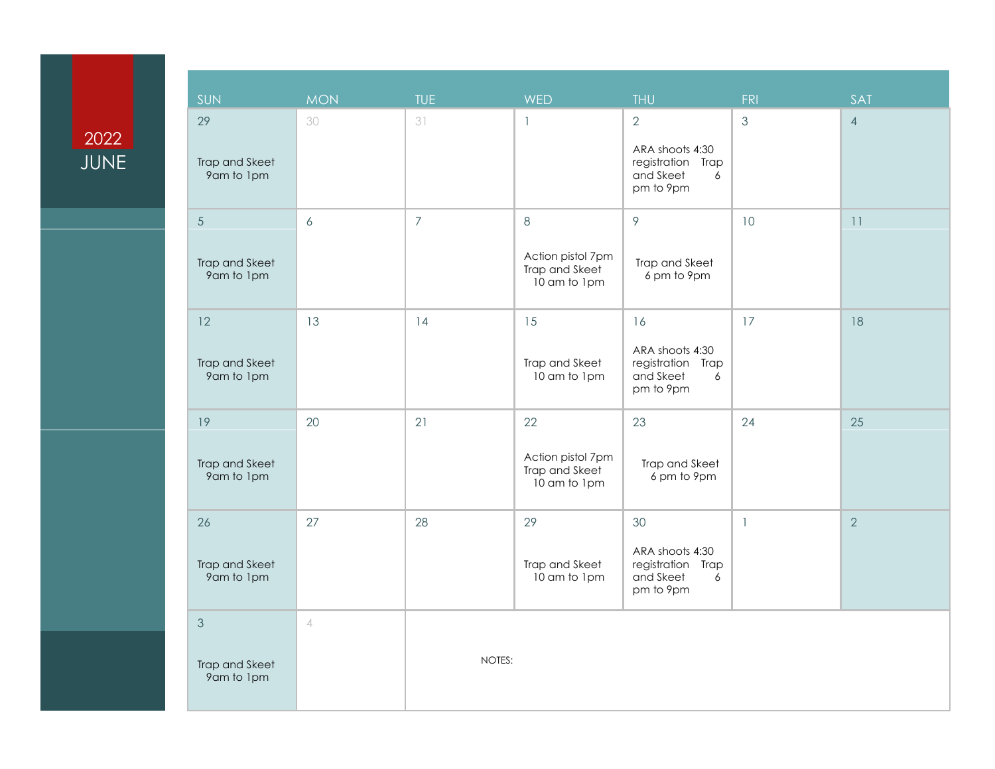# 2022 JUNE

| <b>SUN</b>                                 | <b>MON</b>       | <b>TUE</b>     | <b>WED</b>                                                   | <b>THU</b>                                                                            | <b>FRI</b>     | <b>SAT</b>     |
|--------------------------------------------|------------------|----------------|--------------------------------------------------------------|---------------------------------------------------------------------------------------|----------------|----------------|
| 29<br>Trap and Skeet<br>9am to 1pm         | 30               | 31             | $\mathbf{1}$                                                 | $\overline{2}$<br>ARA shoots 4:30<br>registration Trap<br>and Skeet<br>6<br>pm to 9pm | $\mathfrak{Z}$ | $\overline{4}$ |
| $\sqrt{5}$<br>Trap and Skeet<br>9am to 1pm | $\boldsymbol{6}$ | $\overline{7}$ | $8\,$<br>Action pistol 7pm<br>Trap and Skeet<br>10 am to 1pm | $\mathcal{P}$<br>Trap and Skeet<br>6 pm to 9pm                                        | 10             | 11             |
| 12<br>Trap and Skeet<br>9am to 1pm         | 13               | 14             | 15<br>Trap and Skeet<br>10 am to 1pm                         | 16<br>ARA shoots 4:30<br>registration Trap<br>and Skeet<br>6<br>pm to 9pm             | 17             | 18             |
| 19<br>Trap and Skeet<br>9am to 1pm         | 20               | 21             | 22<br>Action pistol 7pm<br>Trap and Skeet<br>10 am to 1pm    | 23<br>Trap and Skeet<br>6 pm to 9pm                                                   | 24             | 25             |
| 26<br>Trap and Skeet<br>9am to 1pm         | 27               | 28             | 29<br>Trap and Skeet<br>10 am to 1pm                         | 30<br>ARA shoots 4:30<br>registration<br>Trap<br>and Skeet<br>6<br>pm to 9pm          | $\overline{1}$ | $\overline{2}$ |
| 3<br>Trap and Skeet<br>9am to 1pm          | $\overline{4}$   | NOTES:         |                                                              |                                                                                       |                |                |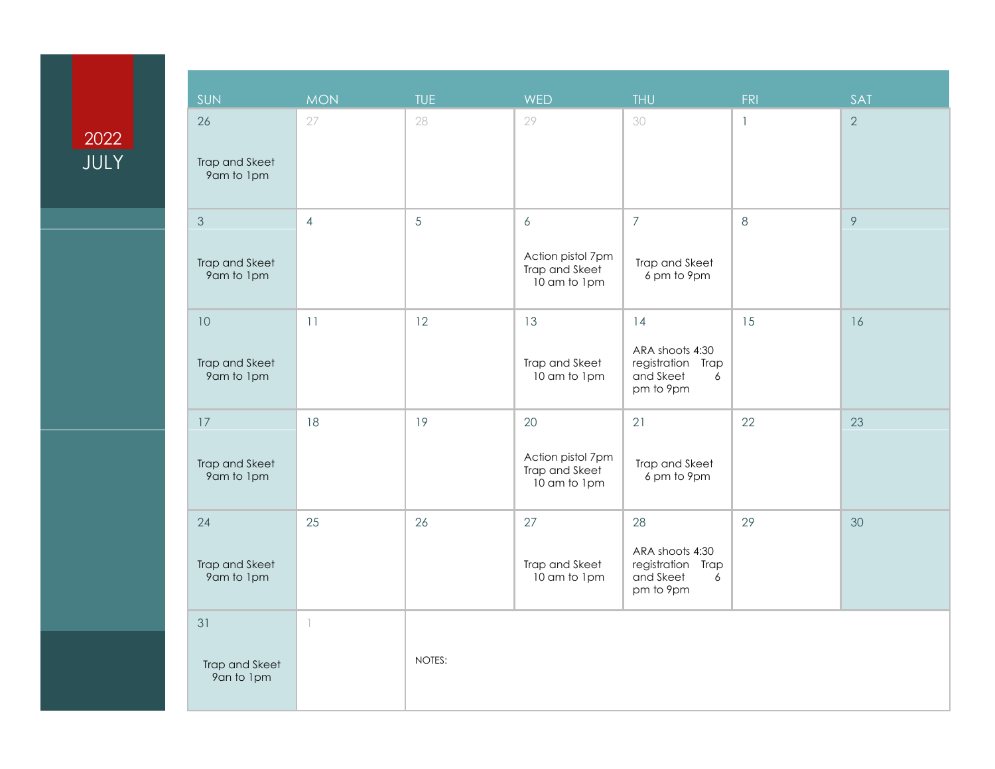# 2022 JULY

| SUN                                            | <b>MON</b>               | <b>TUE</b> | <b>WED</b>                                                              | <b>THU</b>                                                                   | <b>FRI</b>   | SAT            |
|------------------------------------------------|--------------------------|------------|-------------------------------------------------------------------------|------------------------------------------------------------------------------|--------------|----------------|
| 26<br>Trap and Skeet<br>9am to 1pm             | 27                       | 28         | 29                                                                      | 30                                                                           | $\mathbf{1}$ | $\overline{2}$ |
| $\mathfrak{Z}$<br>Trap and Skeet<br>9am to 1pm | $\overline{4}$           | 5          | $\boldsymbol{6}$<br>Action pistol 7pm<br>Trap and Skeet<br>10 am to 1pm | $\overline{7}$<br>Trap and Skeet<br>6 pm to 9pm                              | 8            | $\mathcal{P}$  |
| $10$<br>Trap and Skeet<br>9am to 1pm           | 11                       | 12         | 13<br>Trap and Skeet<br>10 am to 1pm                                    | 14<br>ARA shoots 4:30<br>registration Trap<br>and Skeet<br>6<br>pm to 9pm    | 15           | 16             |
| 17<br>Trap and Skeet<br>9am to 1pm             | 18                       | 19         | 20<br>Action pistol 7pm<br>Trap and Skeet<br>10 am to 1pm               | 21<br>Trap and Skeet<br>6 pm to 9pm                                          | 22           | 23             |
| 24<br>Trap and Skeet<br>9am to 1pm             | 25                       | 26         | 27<br>Trap and Skeet<br>10 am to 1pm                                    | 28<br>ARA shoots 4:30<br>registration<br>Trap<br>and Skeet<br>6<br>pm to 9pm | 29           | 30             |
| 31<br>Trap and Skeet<br>9an to 1pm             | $\overline{\phantom{a}}$ | NOTES:     |                                                                         |                                                                              |              |                |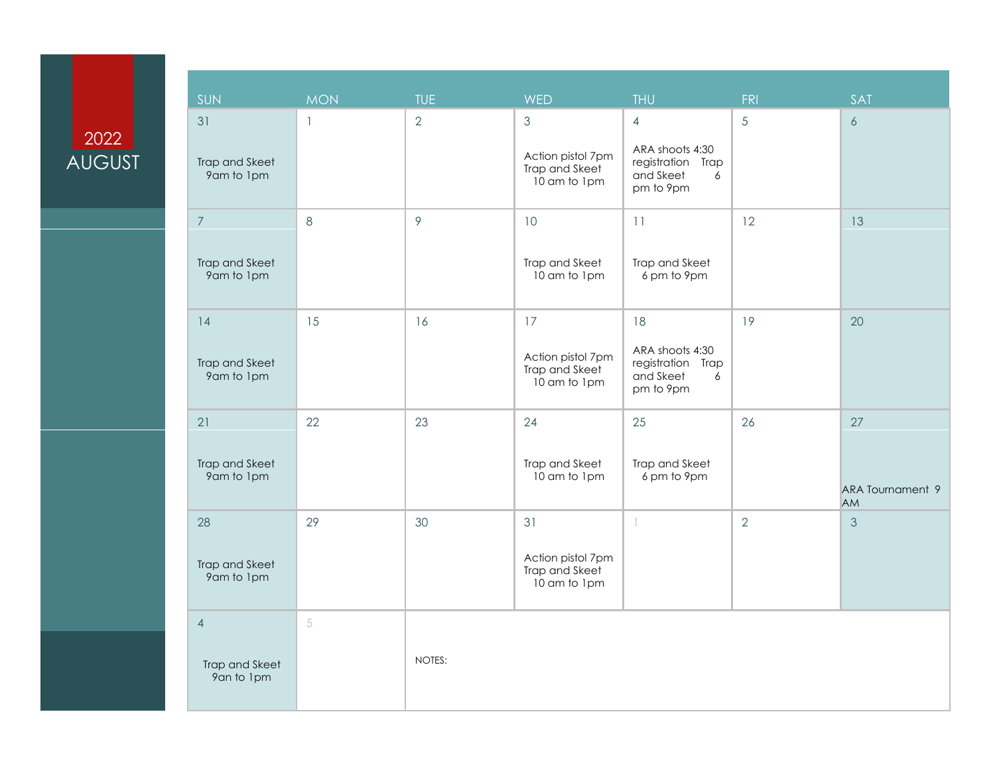# 2022 AUGUST

| <b>SUN</b>                                     | <b>MON</b>   | <b>TUE</b>     | <b>WED</b>                                                            | <b>THU</b>                                                                            | FRI            | <b>SAT</b>                                 |
|------------------------------------------------|--------------|----------------|-----------------------------------------------------------------------|---------------------------------------------------------------------------------------|----------------|--------------------------------------------|
| 31<br>Trap and Skeet<br>9am to 1pm             | $\mathbf{1}$ | $\overline{2}$ | $\mathfrak{S}$<br>Action pistol 7pm<br>Trap and Skeet<br>10 am to 1pm | $\overline{4}$<br>ARA shoots 4:30<br>registration Trap<br>and Skeet<br>6<br>pm to 9pm | 5              | $\delta$                                   |
| $\overline{7}$<br>Trap and Skeet<br>9am to 1pm | $\,8\,$      | 9              | 10<br>Trap and Skeet<br>10 am to 1pm                                  | 11<br>Trap and Skeet<br>6 pm to 9pm                                                   | 12             | 13                                         |
| 14<br>Trap and Skeet<br>9am to 1pm             | 15           | 16             | 17<br>Action pistol 7pm<br>Trap and Skeet<br>10 am to 1pm             | 18<br>ARA shoots 4:30<br>registration Trap<br>and Skeet<br>6<br>pm to 9pm             | 19             | 20                                         |
| 21<br>Trap and Skeet<br>9am to 1pm             | 22           | 23             | 24<br>Trap and Skeet<br>10 am to 1pm                                  | 25<br>Trap and Skeet<br>6 pm to 9pm                                                   | 26             | 27<br><b>ARA Tournament 9</b><br><b>AM</b> |
| 28<br>Trap and Skeet<br>9am to 1pm             | 29           | 30             | 31<br>Action pistol 7pm<br>Trap and Skeet<br>10 am to 1pm             | $\overline{\phantom{a}}$                                                              | $\overline{2}$ | 3                                          |
| $\overline{4}$<br>Trap and Skeet<br>9an to 1pm | 5            | NOTES:         |                                                                       |                                                                                       |                |                                            |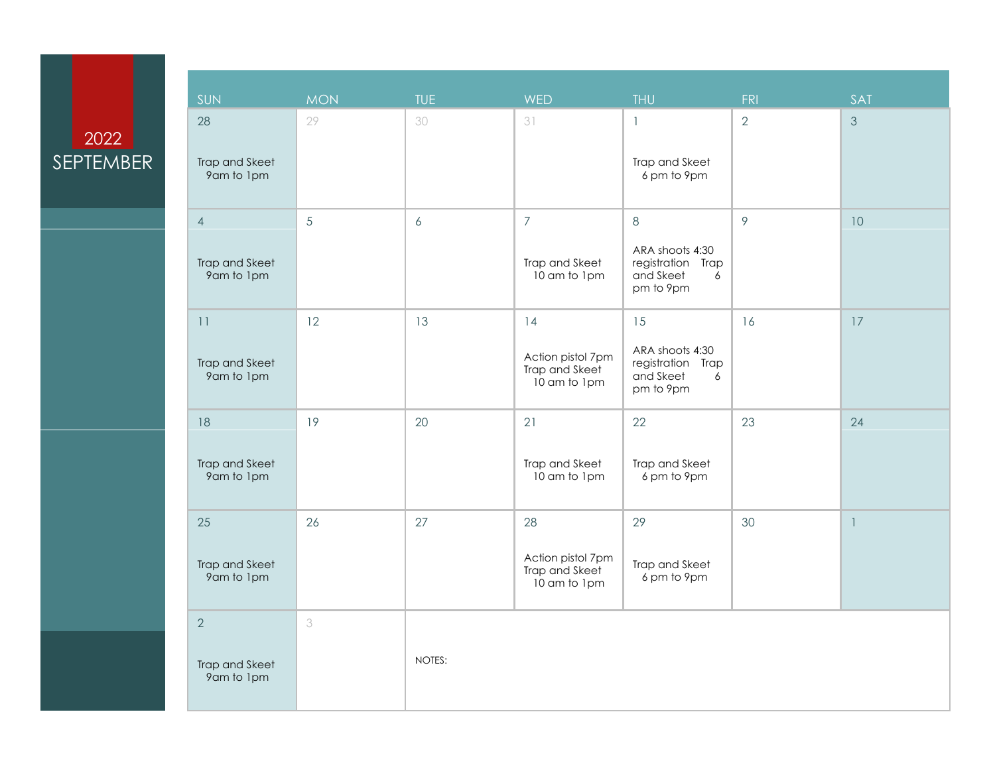# 2022 SEPTEMBER

| SUN                                            | <b>MON</b> | <b>TUE</b> | <b>WED</b>                                                | <b>THU</b>                                                                     | <b>FRI</b>     | SAT            |
|------------------------------------------------|------------|------------|-----------------------------------------------------------|--------------------------------------------------------------------------------|----------------|----------------|
| 28<br>Trap and Skeet<br>9am to 1pm             | 29         | 30         | 31                                                        | $\mathbf{1}$<br>Trap and Skeet<br>6 pm to 9pm                                  | $\overline{2}$ | $\mathfrak{Z}$ |
| $\overline{4}$<br>Trap and Skeet<br>9am to 1pm | 5          | 6          | $\overline{7}$<br>Trap and Skeet<br>10 am to 1pm          | $\,8\,$<br>ARA shoots 4:30<br>registration Trap<br>and Skeet<br>6<br>pm to 9pm | $\mathcal{P}$  | 10             |
| 11<br>Trap and Skeet<br>9am to 1pm             | 12         | 13         | 14<br>Action pistol 7pm<br>Trap and Skeet<br>10 am to 1pm | 15<br>ARA shoots 4:30<br>registration Trap<br>and Skeet<br>6<br>pm to 9pm      | 16             | $17$           |
| 18<br>Trap and Skeet<br>9am to 1pm             | 19         | 20         | 21<br>Trap and Skeet<br>10 am to 1pm                      | 22<br>Trap and Skeet<br>6 pm to 9pm                                            | 23             | 24             |
| 25<br>Trap and Skeet<br>9am to 1pm             | 26         | 27         | 28<br>Action pistol 7pm<br>Trap and Skeet<br>10 am to 1pm | 29<br>Trap and Skeet<br>6 pm to 9pm                                            | 30             | $\mathbb{I}$   |
| $\overline{2}$<br>Trap and Skeet<br>9am to 1pm | 3          | NOTES:     |                                                           |                                                                                |                |                |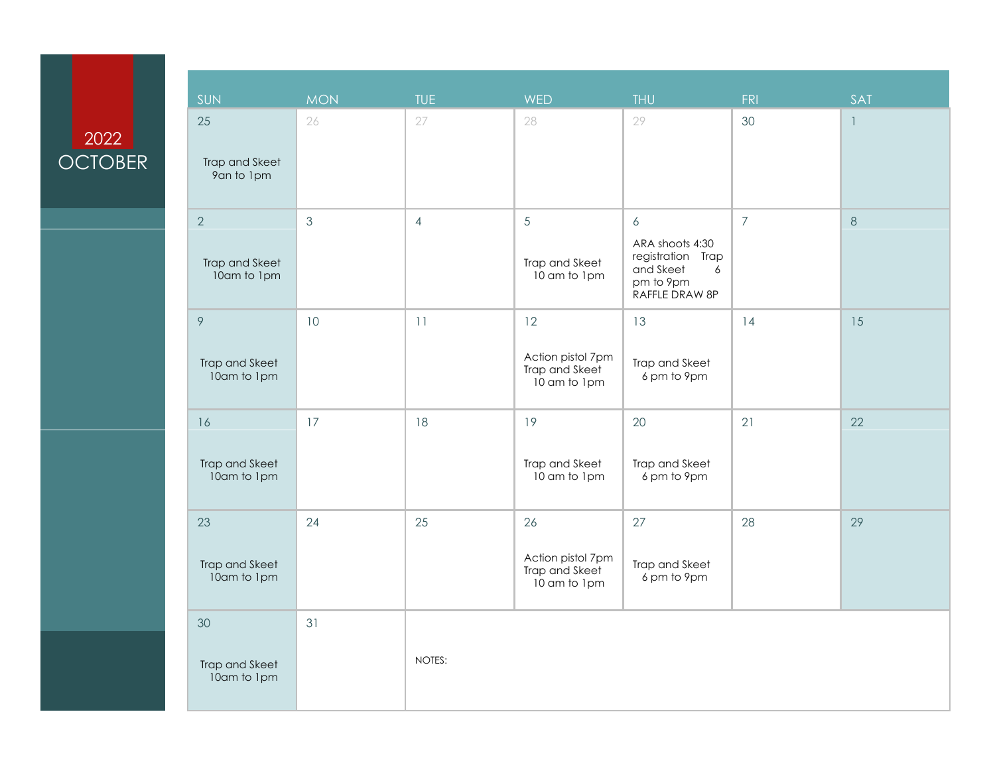### 2022 **OCTOBER**

| SUN                                 | <b>MON</b>     | <b>TUE</b>     | <b>WED</b>                                                | <b>THU</b>                                                                                 | FRI            | SAT          |
|-------------------------------------|----------------|----------------|-----------------------------------------------------------|--------------------------------------------------------------------------------------------|----------------|--------------|
| 25<br>Trap and Skeet<br>9an to 1pm  | 26             | 27             | 28                                                        | 29                                                                                         | 30             | $\mathbf{1}$ |
| 2<br>Trap and Skeet<br>10am to 1pm  | $\mathfrak{Z}$ | $\overline{4}$ | $\overline{5}$<br>Trap and Skeet<br>10 am to 1pm          | 6<br>ARA shoots 4:30<br>registration Trap<br>and Skeet<br>6<br>pm to 9pm<br>RAFFLE DRAW 8P | $\overline{7}$ | $8\,$        |
| 9<br>Trap and Skeet<br>10am to 1pm  | 10             | 11             | 12<br>Action pistol 7pm<br>Trap and Skeet<br>10 am to 1pm | 13<br>Trap and Skeet<br>6 pm to 9pm                                                        | 14             | 15           |
| 16<br>Trap and Skeet<br>10am to 1pm | 17             | 18             | 19<br>Trap and Skeet<br>10 am to 1pm                      | 20<br>Trap and Skeet<br>6 pm to 9pm                                                        | 21             | 22           |
| 23<br>Trap and Skeet<br>10am to 1pm | 24             | 25             | 26<br>Action pistol 7pm<br>Trap and Skeet<br>10 am to 1pm | 27<br>Trap and Skeet<br>6 pm to 9pm                                                        | 28             | 29           |
| 30<br>Trap and Skeet<br>10am to 1pm | 31             | NOTES:         |                                                           |                                                                                            |                |              |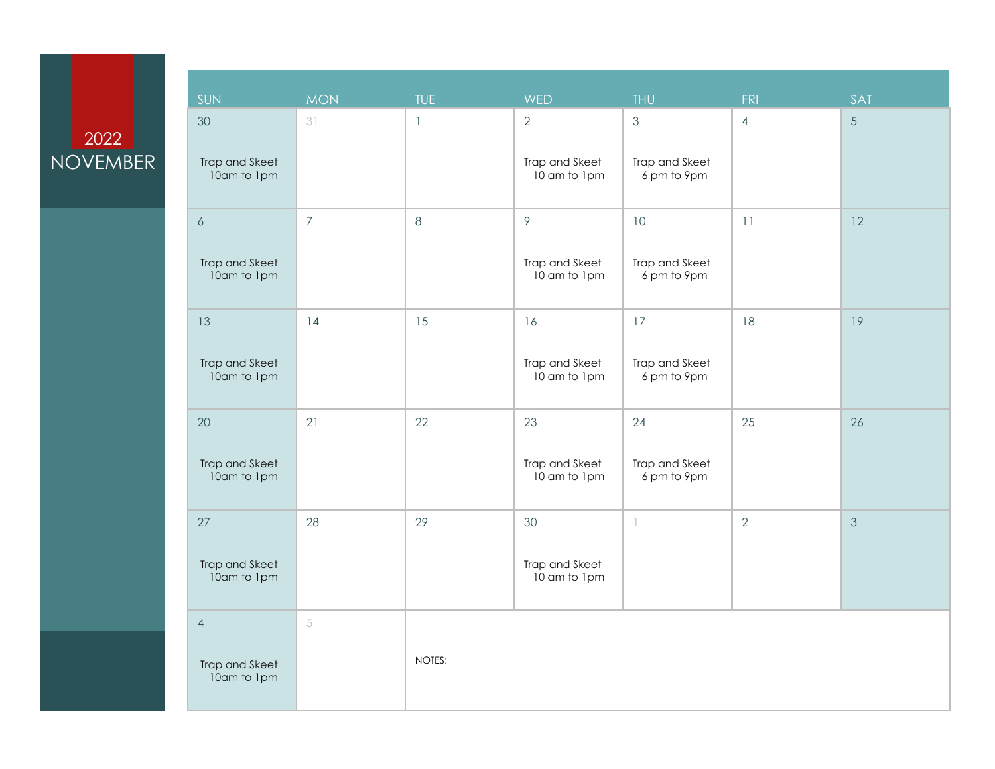### 2022 NOVEMBER

| SUN                           | <b>MON</b>     | <b>TUE</b>   | <b>WED</b>                     | <b>THU</b>                    | <b>FRI</b>     | <b>SAT</b>     |
|-------------------------------|----------------|--------------|--------------------------------|-------------------------------|----------------|----------------|
| 30                            | 31             | $\mathbf{1}$ | $\mathbf{2}$                   | $\mathcal{S}$                 | $\overline{4}$ | 5              |
| Trap and Skeet<br>10am to 1pm |                |              | Trap and Skeet<br>10 am to 1pm | Trap and Skeet<br>6 pm to 9pm |                |                |
| $\boldsymbol{6}$              | $\overline{7}$ | $\,8\,$      | 9                              | 10                            | $11$           | 12             |
| Trap and Skeet<br>10am to 1pm |                |              | Trap and Skeet<br>10 am to 1pm | Trap and Skeet<br>6 pm to 9pm |                |                |
| 13                            | 14             | 15           | 16                             | 17                            | 18             | 19             |
| Trap and Skeet<br>10am to 1pm |                |              | Trap and Skeet<br>10 am to 1pm | Trap and Skeet<br>6 pm to 9pm |                |                |
| 20                            | 21             | 22           | 23                             | 24                            | 25             | 26             |
| Trap and Skeet<br>10am to 1pm |                |              | Trap and Skeet<br>10 am to 1pm | Trap and Skeet<br>6 pm to 9pm |                |                |
| 27                            | 28             | 29           | 30                             | $\mathbb{L}$                  | $\overline{2}$ | $\mathfrak{Z}$ |
| Trap and Skeet<br>10am to 1pm |                |              | Trap and Skeet<br>10 am to 1pm |                               |                |                |
| $\overline{4}$                | 5              |              |                                |                               |                |                |
| Trap and Skeet<br>10am to 1pm |                | NOTES:       |                                |                               |                |                |